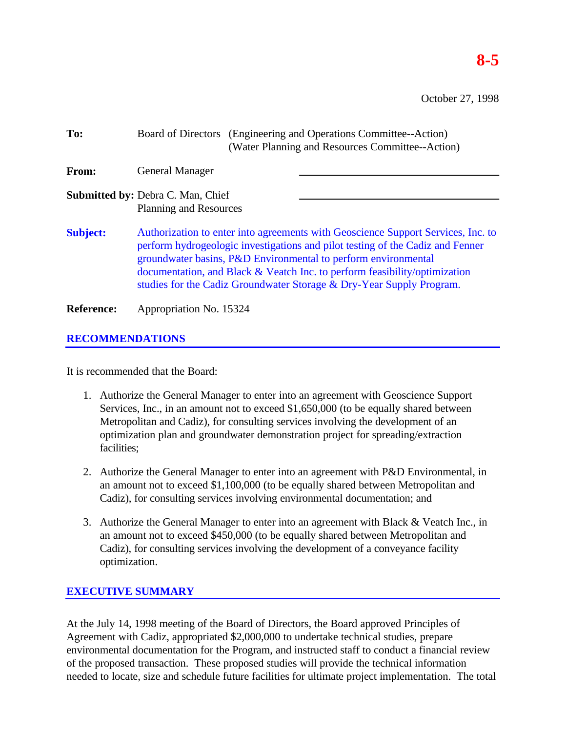# **8-5**

October 27, 1998

| To:               | Board of Directors (Engineering and Operations Committee--Action)<br>(Water Planning and Resources Committee--Action)                                                                                                                                                                                                                                                                      |  |  |  |  |  |
|-------------------|--------------------------------------------------------------------------------------------------------------------------------------------------------------------------------------------------------------------------------------------------------------------------------------------------------------------------------------------------------------------------------------------|--|--|--|--|--|
| From:             | <b>General Manager</b>                                                                                                                                                                                                                                                                                                                                                                     |  |  |  |  |  |
|                   | <b>Submitted by: Debra C. Man, Chief</b><br>Planning and Resources                                                                                                                                                                                                                                                                                                                         |  |  |  |  |  |
| <b>Subject:</b>   | Authorization to enter into agreements with Geoscience Support Services, Inc. to<br>perform hydrogeologic investigations and pilot testing of the Cadiz and Fenner<br>groundwater basins, P&D Environmental to perform environmental<br>documentation, and Black & Veatch Inc. to perform feasibility/optimization<br>studies for the Cadiz Groundwater Storage & Dry-Year Supply Program. |  |  |  |  |  |
| <b>Reference:</b> | Appropriation No. 15324                                                                                                                                                                                                                                                                                                                                                                    |  |  |  |  |  |

## **RECOMMENDATIONS**

It is recommended that the Board:

- 1. Authorize the General Manager to enter into an agreement with Geoscience Support Services, Inc., in an amount not to exceed \$1,650,000 (to be equally shared between Metropolitan and Cadiz), for consulting services involving the development of an optimization plan and groundwater demonstration project for spreading/extraction facilities;
- 2. Authorize the General Manager to enter into an agreement with P&D Environmental, in an amount not to exceed \$1,100,000 (to be equally shared between Metropolitan and Cadiz), for consulting services involving environmental documentation; and
- 3. Authorize the General Manager to enter into an agreement with Black & Veatch Inc., in an amount not to exceed \$450,000 (to be equally shared between Metropolitan and Cadiz), for consulting services involving the development of a conveyance facility optimization.

### **EXECUTIVE SUMMARY**

At the July 14, 1998 meeting of the Board of Directors, the Board approved Principles of Agreement with Cadiz, appropriated \$2,000,000 to undertake technical studies, prepare environmental documentation for the Program, and instructed staff to conduct a financial review of the proposed transaction. These proposed studies will provide the technical information needed to locate, size and schedule future facilities for ultimate project implementation. The total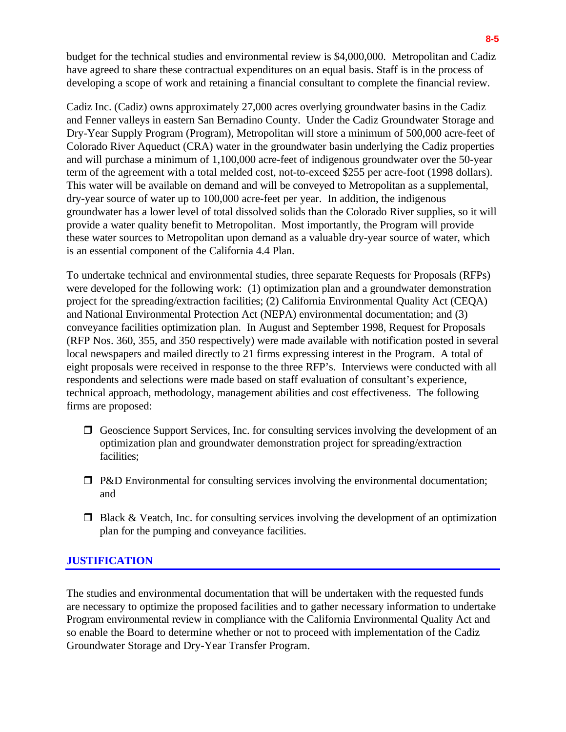budget for the technical studies and environmental review is \$4,000,000. Metropolitan and Cadiz have agreed to share these contractual expenditures on an equal basis. Staff is in the process of developing a scope of work and retaining a financial consultant to complete the financial review.

Cadiz Inc. (Cadiz) owns approximately 27,000 acres overlying groundwater basins in the Cadiz and Fenner valleys in eastern San Bernadino County. Under the Cadiz Groundwater Storage and Dry-Year Supply Program (Program), Metropolitan will store a minimum of 500,000 acre-feet of Colorado River Aqueduct (CRA) water in the groundwater basin underlying the Cadiz properties and will purchase a minimum of 1,100,000 acre-feet of indigenous groundwater over the 50-year term of the agreement with a total melded cost, not-to-exceed \$255 per acre-foot (1998 dollars). This water will be available on demand and will be conveyed to Metropolitan as a supplemental, dry-year source of water up to 100,000 acre-feet per year. In addition, the indigenous groundwater has a lower level of total dissolved solids than the Colorado River supplies, so it will provide a water quality benefit to Metropolitan. Most importantly, the Program will provide these water sources to Metropolitan upon demand as a valuable dry-year source of water, which is an essential component of the California 4.4 Plan.

To undertake technical and environmental studies, three separate Requests for Proposals (RFPs) were developed for the following work: (1) optimization plan and a groundwater demonstration project for the spreading/extraction facilities; (2) California Environmental Quality Act (CEQA) and National Environmental Protection Act (NEPA) environmental documentation; and (3) conveyance facilities optimization plan. In August and September 1998, Request for Proposals (RFP Nos. 360, 355, and 350 respectively) were made available with notification posted in several local newspapers and mailed directly to 21 firms expressing interest in the Program. A total of eight proposals were received in response to the three RFP's. Interviews were conducted with all respondents and selections were made based on staff evaluation of consultant's experience, technical approach, methodology, management abilities and cost effectiveness. The following firms are proposed:

- $\Box$  Geoscience Support Services, Inc. for consulting services involving the development of an optimization plan and groundwater demonstration project for spreading/extraction facilities;
- $\Box$  P&D Environmental for consulting services involving the environmental documentation; and
- $\Box$  Black & Veatch, Inc. for consulting services involving the development of an optimization plan for the pumping and conveyance facilities.

# **JUSTIFICATION**

The studies and environmental documentation that will be undertaken with the requested funds are necessary to optimize the proposed facilities and to gather necessary information to undertake Program environmental review in compliance with the California Environmental Quality Act and so enable the Board to determine whether or not to proceed with implementation of the Cadiz Groundwater Storage and Dry-Year Transfer Program.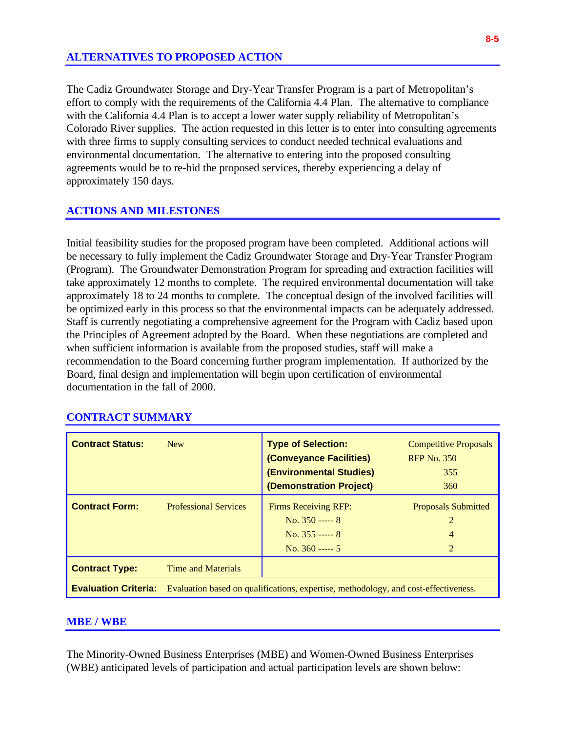The Cadiz Groundwater Storage and Dry-Year Transfer Program is a part of Metropolitan's effort to comply with the requirements of the California 4.4 Plan. The alternative to compliance with the California 4.4 Plan is to accept a lower water supply reliability of Metropolitan's Colorado River supplies. The action requested in this letter is to enter into consulting agreements with three firms to supply consulting services to conduct needed technical evaluations and environmental documentation. The alternative to entering into the proposed consulting agreements would be to re-bid the proposed services, thereby experiencing a delay of approximately 150 days.

## **ACTIONS AND MILESTONES**

Initial feasibility studies for the proposed program have been completed. Additional actions will be necessary to fully implement the Cadiz Groundwater Storage and Dry-Year Transfer Program (Program). The Groundwater Demonstration Program for spreading and extraction facilities will take approximately 12 months to complete. The required environmental documentation will take approximately 18 to 24 months to complete. The conceptual design of the involved facilities will be optimized early in this process so that the environmental impacts can be adequately addressed. Staff is currently negotiating a comprehensive agreement for the Program with Cadiz based upon the Principles of Agreement adopted by the Board. When these negotiations are completed and when sufficient information is available from the proposed studies, staff will make a recommendation to the Board concerning further program implementation. If authorized by the Board, final design and implementation will begin upon certification of environmental documentation in the fall of 2000.

| <b>Contract Status:</b>     | <b>New</b>                                                                          | <b>Type of Selection:</b><br>(Conveyance Facilities)<br>(Environmental Studies)<br>(Demonstration Project) | <b>Competitive Proposals</b><br><b>RFP No. 350</b><br>355<br><b>360</b> |  |  |  |
|-----------------------------|-------------------------------------------------------------------------------------|------------------------------------------------------------------------------------------------------------|-------------------------------------------------------------------------|--|--|--|
| <b>Contract Form:</b>       | <b>Professional Services</b>                                                        | <b>Firms Receiving RFP:</b><br>No. $350$ ----- 8<br>No. $355$ ----- 8<br>No. $360$ ----- 5                 | <b>Proposals Submitted</b><br>$\mathcal{L}$<br>4<br>$\overline{2}$      |  |  |  |
| <b>Contract Type:</b>       | <b>Time and Materials</b>                                                           |                                                                                                            |                                                                         |  |  |  |
| <b>Evaluation Criteria:</b> | Evaluation based on qualifications, expertise, methodology, and cost-effectiveness. |                                                                                                            |                                                                         |  |  |  |

# **CONTRACT SUMMARY**

#### **MBE / WBE**

The Minority-Owned Business Enterprises (MBE) and Women-Owned Business Enterprises (WBE) anticipated levels of participation and actual participation levels are shown below: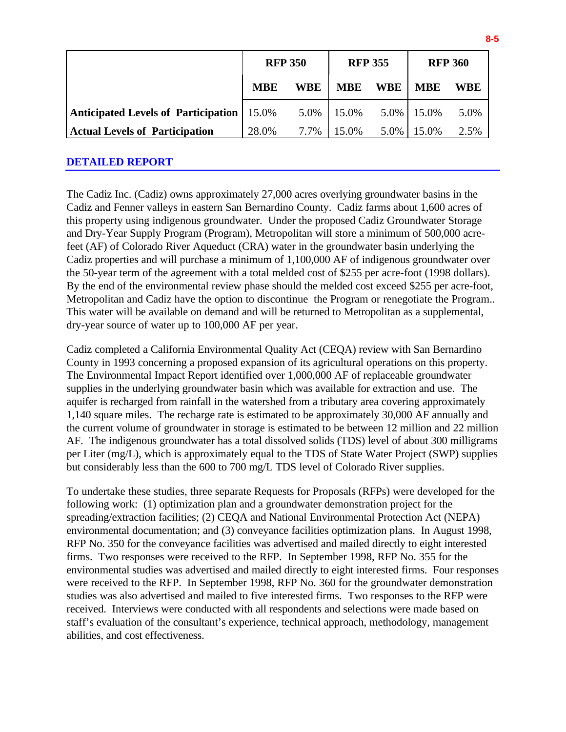|                                             | <b>RFP 350</b> |            | <b>RFP 355</b> |            | <b>RFP 360</b> |            |
|---------------------------------------------|----------------|------------|----------------|------------|----------------|------------|
|                                             | <b>MBE</b>     | <b>WBE</b> | <b>MBE</b>     | <b>WBE</b> | <b>MBE</b>     | <b>WBE</b> |
| Anticipated Levels of Participation   15.0% |                |            | 5.0%   15.0%   |            | 5.0% 15.0%     | 5.0%       |
| <b>Actual Levels of Participation</b>       | 28.0%          | 7.7%       | 15.0%          | 5.0%       | 15.0%          | 2.5%       |

#### **DETAILED REPORT**

The Cadiz Inc. (Cadiz) owns approximately 27,000 acres overlying groundwater basins in the Cadiz and Fenner valleys in eastern San Bernardino County. Cadiz farms about 1,600 acres of this property using indigenous groundwater. Under the proposed Cadiz Groundwater Storage and Dry-Year Supply Program (Program), Metropolitan will store a minimum of 500,000 acrefeet (AF) of Colorado River Aqueduct (CRA) water in the groundwater basin underlying the Cadiz properties and will purchase a minimum of 1,100,000 AF of indigenous groundwater over the 50-year term of the agreement with a total melded cost of \$255 per acre-foot (1998 dollars). By the end of the environmental review phase should the melded cost exceed \$255 per acre-foot, Metropolitan and Cadiz have the option to discontinue the Program or renegotiate the Program.. This water will be available on demand and will be returned to Metropolitan as a supplemental, dry-year source of water up to 100,000 AF per year.

Cadiz completed a California Environmental Quality Act (CEQA) review with San Bernardino County in 1993 concerning a proposed expansion of its agricultural operations on this property. The Environmental Impact Report identified over 1,000,000 AF of replaceable groundwater supplies in the underlying groundwater basin which was available for extraction and use. The aquifer is recharged from rainfall in the watershed from a tributary area covering approximately 1,140 square miles. The recharge rate is estimated to be approximately 30,000 AF annually and the current volume of groundwater in storage is estimated to be between 12 million and 22 million AF. The indigenous groundwater has a total dissolved solids (TDS) level of about 300 milligrams per Liter (mg/L), which is approximately equal to the TDS of State Water Project (SWP) supplies but considerably less than the 600 to 700 mg/L TDS level of Colorado River supplies.

To undertake these studies, three separate Requests for Proposals (RFPs) were developed for the following work: (1) optimization plan and a groundwater demonstration project for the spreading/extraction facilities; (2) CEQA and National Environmental Protection Act (NEPA) environmental documentation; and (3) conveyance facilities optimization plans. In August 1998, RFP No. 350 for the conveyance facilities was advertised and mailed directly to eight interested firms. Two responses were received to the RFP. In September 1998, RFP No. 355 for the environmental studies was advertised and mailed directly to eight interested firms. Four responses were received to the RFP. In September 1998, RFP No. 360 for the groundwater demonstration studies was also advertised and mailed to five interested firms. Two responses to the RFP were received. Interviews were conducted with all respondents and selections were made based on staff's evaluation of the consultant's experience, technical approach, methodology, management abilities, and cost effectiveness.